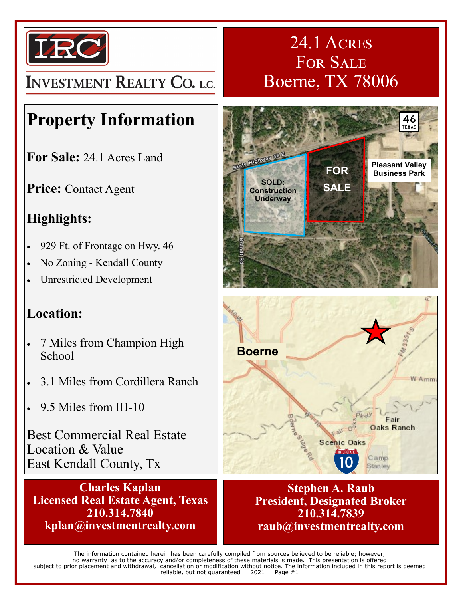

# **INVESTMENT REALTY CO. L.C.**

# 24.1 Acres For Sale Boerne, TX 78006

# **Property Information**

**For Sale:** 24.1 Acres Land

**Price:** Contact Agent

## **Highlights:**

- 929 Ft. of Frontage on Hwy. 46
- No Zoning Kendall County
- Unrestricted Development

## **Location:**

- 7 Miles from Champion High **School**
- 3.1 Miles from Cordillera Ranch
- 9.5 Miles from IH-10

Best Commercial Real Estate Location & Value East Kendall County, Tx

**Charles Kaplan Licensed Real Estate Agent, Texas 210.314.7840 kplan@investmentrealty.com**



**Stephen A. Raub President, Designated Broker 210.314.7839 raub@investmentrealty.com**

The information contained herein has been carefully compiled from sources believed to be reliable; however, no warranty as to the accuracy and/or completeness of these materials is made. This presentation is offered subject to prior placement and withdrawal, cancellation or modification without notice. The information included in this report is deemed<br>reliable, but not guaranteed 2021 Page #1 reliable, but not guaranteed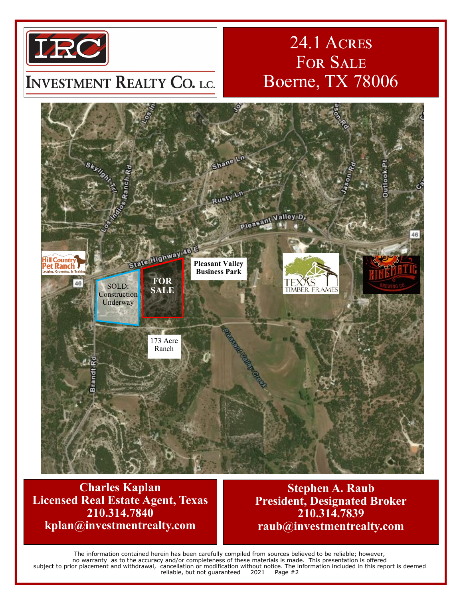

# **INVESTMENT REALTY CO. L.C.**

## 24.1 Acres FOR SALE Boerne, TX 78006



**Charles Kaplan Licensed Real Estate Agent, Texas 210.314.7840 kplan@investmentrealty.com**

**Stephen A. Raub President, Designated Broker 210.314.7839 raub@investmentrealty.com**

The information contained herein has been carefully compiled from sources believed to be reliable; however, no warranty as to the accuracy and/or completeness of these materials is made. This presentation is offered subject to prior placement and withdrawal, cancellation or modification without notice. The information included in this report is deemed<br>reliable, but not guaranteed 2021 Page #2 reliable, but not guaranteed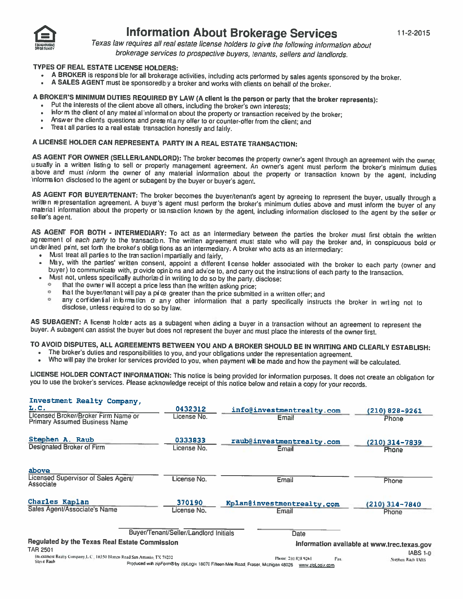

### **Information About Brokerage Services**

Texas law requires all real estate license holders to give the following information about brokerage services to prospective buyers, tenants, sellers and landlords.

### TYPES OF REAL ESTATE LICENSE HOLDERS:

- . A BROKER is responsible for all brokerage activities, including acts performed by sales agents sponsored by the broker.
- A SALES AGENT must be sponsored by a broker and works with clients on behalf of the broker.

### A BROKER'S MINIMUM DUTIES REQUIRED BY LAW (A client is the person or party that the broker represents):

- . Put the interests of the client above all others, including the broker's own interests;
- hform the client of any material information about the property or transaction received by the broker;
- Answer the clients questions and present any offer to or counter-offer from the client; and
- Treat all parties to a real estate transaction honestly and fairly.

### A LICENSE HOLDER CAN REPRESENTA PARTY IN A REAL ESTATE TRANSACTION:

AS AGENT FOR OWNER (SELLER/LANDLORD): The broker becomes the property owner's agent through an agreement with the owner. usually in a written listing to sell or property management agreement. An owner's agent must perform the broker's minimum duties above and must inform the owner of any material information about the property or transaction known by the agent, including information disclosed to the agent or subagent by the buyer or buyer's agent.

AS AGENT FOR BUYER/TENANT: The broker becomes the buyer/tenant's agent by agreeing to represent the buyer, usually through a written representation agreement. A buyer's agent must perform the broker's minimum duties above and must inform the buyer of any material information about the property or transaction known by the agent, including information disclosed to the agent by the seller or seller's agent.

AS AGENT FOR BOTH - INTERMEDIARY: To act as an intermediary between the parties the broker must first obtain the written agreement of each party to the transaction. The written agreement must state who will pay the broker and, in conspicuous bold or un der Ined paint, set forth the broker's obligations as an intermediary. A broker who acts as an intermediary:

- Must treat all parties to the transaction impartially and fairly,
- May, with the parties' written consent, appoint a different I cense holder associated with the broker to each party (owner and buyer) to communicate with, provide opinions and advice to, and carry out the instructions of each party to the transaction.
- Must not, unless specifically authorized in writing to do so by the party, disclose:
- that the owner will accept a price less than the written asking price;  $\circ$
- hat the buyer/tenant will pay a price greater than the price submitted in a written offer; and
- $\alpha$ any confidential information or any other information that a party specifically instructs the broker in writing not to disclose, unless required to do so by law.

AS SUBAGENT: A license holder acts as a subagent when aiding a buyer in a transaction without an agreement to represent the buyer. A subagent can assist the buyer but does not represent the buyer and must place the interests of the owner first.

### TO AVOID DISPUTES, ALL AGREEMENTS BETWEEN YOU AND A BROKER SHOULD BE IN WRITING AND CLEARLY ESTABLISH:

- The broker's duties and responsibilities to you, and your obligations under the representation agreement.
- Who will pay the broker for services provided to you, when payment will be made and how the payment will be calculated.  $\bullet$

LICENSE HOLDER CONTACT INFORMATION: This notice is being provided for information purposes. It does not create an obligation for you to use the broker's services. Please acknowledge receipt of this notice below and retain a copy for your records.

| Investment Realty Company,                                                                    |                                       |                                                                                                                                  |                   |
|-----------------------------------------------------------------------------------------------|---------------------------------------|----------------------------------------------------------------------------------------------------------------------------------|-------------------|
| L.C.                                                                                          | 0432312                               | info@investmentrealty.com                                                                                                        | (210)828-9261     |
| Licensed Broker/Broker Firm Name or<br><b>Primary Assumed Business Name</b>                   | License No.                           | Email                                                                                                                            | Phone             |
| Stephen A. Raub                                                                               | 0333833                               | raub@investmentrealty.com                                                                                                        | (210) 314-7839    |
| Designated Broker of Firm                                                                     | License No.                           | Email                                                                                                                            | Phone             |
| above                                                                                         |                                       |                                                                                                                                  |                   |
| Licensed Supervisor of Sales Agent/<br>Associate                                              | License No.                           | Email                                                                                                                            | Phone             |
| Charles Kaplan                                                                                | 370190                                | Kplan@investmentrealty.com                                                                                                       | (210) 314-7840    |
| Sales Agent/Associate's Name                                                                  | License No.                           | Email                                                                                                                            | Phone             |
|                                                                                               | Buyer/Tenant/Seller/Landlord Initials | Date                                                                                                                             |                   |
| Regulated by the Texas Real Estate Commission                                                 |                                       | Information available at www.trec.texas.gov                                                                                      |                   |
| TAR 2501                                                                                      |                                       |                                                                                                                                  | <b>IABS 1-0</b>   |
| Investment Really Company L C., 16350 Blanco Road San Antonio, TX 78232.<br><b>Steve Rauh</b> |                                       | Phone 210 828 9261<br>Fax<br>Produced with zipForm® by zipLogix 18070 Fifteen Mile Road, Fraser, Michigan 48026 www.zipLogix.com | Stephen Raub IABS |